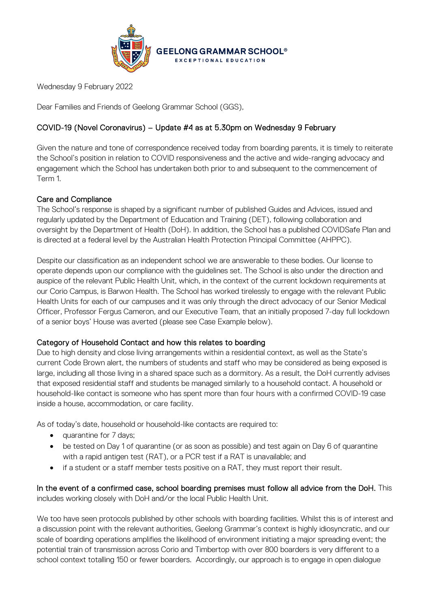

Wednesday 9 February 2022

Dear Families and Friends of Geelong Grammar School (GGS),

# COVID-19 (Novel Coronavirus) – Update #4 as at 5.30pm on Wednesday 9 February

Given the nature and tone of correspondence received today from boarding parents, it is timely to reiterate the School's position in relation to COVID responsiveness and the active and wide-ranging advocacy and engagement which the School has undertaken both prior to and subsequent to the commencement of Term 1.

### Care and Compliance

The School's response is shaped by a significant number of published Guides and Advices, issued and regularly updated by the Department of Education and Training (DET), following collaboration and oversight by the Department of Health (DoH). In addition, the School has a published COVIDSafe Plan and is directed at a federal level by the Australian Health Protection Principal Committee (AHPPC).

Despite our classification as an independent school we are answerable to these bodies. Our license to operate depends upon our compliance with the guidelines set. The School is also under the direction and auspice of the relevant Public Health Unit, which, in the context of the current lockdown requirements at our Corio Campus, is Barwon Health. The School has worked tirelessly to engage with the relevant Public Health Units for each of our campuses and it was only through the direct advocacy of our Senior Medical Officer, Professor Fergus Cameron, and our Executive Team, that an initially proposed 7-day full lockdown of a senior boys' House was averted (please see Case Example below).

#### Category of Household Contact and how this relates to boarding

Due to high density and close living arrangements within a residential context, as well as the State's current Code Brown alert, the numbers of students and staff who may be considered as being exposed is large, including all those living in a shared space such as a dormitory. As a result, the DoH currently advises that exposed residential staff and students be managed similarly to a household contact. A household or household-like contact is someone who has spent more than four hours with a confirmed COVID-19 case inside a house, accommodation, or care facility.

As of today's date, household or household-like contacts are required to:

- quarantine for 7 days;
- be tested on Day 1 of quarantine (or as soon as possible) and test again on Day 6 of quarantine with a rapid antigen test (RAT), or a PCR test if a RAT is unavailable; and
- if a student or a staff member tests positive on a RAT, they must report their result.

In the event of a confirmed case, school boarding premises must follow all advice from the DoH. This includes working closely with DoH and/or the local Public Health Unit.

We too have seen protocols published by other schools with boarding facilities. Whilst this is of interest and a discussion point with the relevant authorities, Geelong Grammar's context is highly idiosyncratic, and our scale of boarding operations amplifies the likelihood of environment initiating a major spreading event; the potential train of transmission across Corio and Timbertop with over 800 boarders is very different to a school context totalling 150 or fewer boarders. Accordingly, our approach is to engage in open dialogue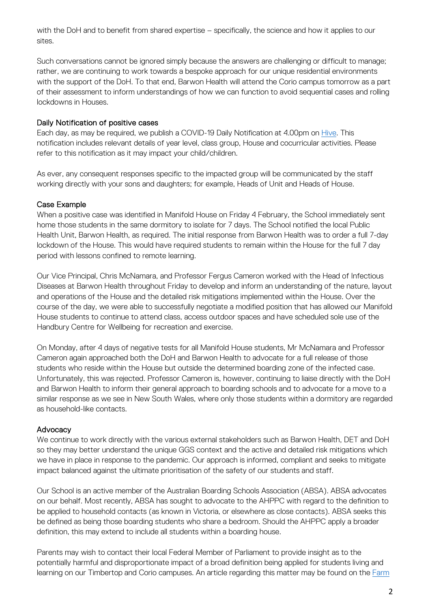with the DoH and to benefit from shared expertise – specifically, the science and how it applies to our sites.

Such conversations cannot be ignored simply because the answers are challenging or difficult to manage; rather, we are continuing to work towards a bespoke approach for our unique residential environments with the support of the DoH. To that end, Barwon Health will attend the Corio campus tomorrow as a part of their assessment to inform understandings of how we can function to avoid sequential cases and rolling lockdowns in Houses.

#### Daily Notification of positive cases

Each day, as may be required, we publish a COVID-19 Daily Notification at 4.00pm on [Hive.](https://hive.ggs.vic.edu.au/) This notification includes relevant details of year level, class group, House and cocurricular activities. Please refer to this notification as it may impact your child/children.

As ever, any consequent responses specific to the impacted group will be communicated by the staff working directly with your sons and daughters; for example, Heads of Unit and Heads of House.

#### Case Example

When a positive case was identified in Manifold House on Friday 4 February, the School immediately sent home those students in the same dormitory to isolate for 7 days. The School notified the local Public Health Unit, Barwon Health, as required. The initial response from Barwon Health was to order a full 7-day lockdown of the House. This would have required students to remain within the House for the full 7 day period with lessons confined to remote learning.

Our Vice Principal, Chris McNamara, and Professor Fergus Cameron worked with the Head of Infectious Diseases at Barwon Health throughout Friday to develop and inform an understanding of the nature, layout and operations of the House and the detailed risk mitigations implemented within the House. Over the course of the day, we were able to successfully negotiate a modified position that has allowed our Manifold House students to continue to attend class, access outdoor spaces and have scheduled sole use of the Handbury Centre for Wellbeing for recreation and exercise.

On Monday, after 4 days of negative tests for all Manifold House students, Mr McNamara and Professor Cameron again approached both the DoH and Barwon Health to advocate for a full release of those students who reside within the House but outside the determined boarding zone of the infected case. Unfortunately, this was rejected. Professor Cameron is, however, continuing to liaise directly with the DoH and Barwon Health to inform their general approach to boarding schools and to advocate for a move to a similar response as we see in New South Wales, where only those students within a dormitory are regarded as household-like contacts.

#### **Advocacy**

We continue to work directly with the various external stakeholders such as Barwon Health, DET and DoH so they may better understand the unique GGS context and the active and detailed risk mitigations which we have in place in response to the pandemic. Our approach is informed, compliant and seeks to mitigate impact balanced against the ultimate prioritisation of the safety of our students and staff.

Our School is an active member of the Australian Boarding Schools Association (ABSA). ABSA advocates on our behalf. Most recently, ABSA has sought to advocate to the AHPPC with regard to the definition to be applied to household contacts (as known in Victoria, or elsewhere as close contacts). ABSA seeks this be defined as being those boarding students who share a bedroom. Should the AHPPC apply a broader definition, this may extend to include all students within a boarding house.

Parents may wish to contact their local Federal Member of Parliament to provide insight as to the potentially harmful and disproportionate impact of a broad definition being applied for students living and learning on our Timbertop and Corio campuses. An article regarding this matter may be found on the [Farm](https://www.farmonline.com.au/story/7593572/push-for-close-contact-and-essential-worker-changes-to-keep-boarding-schools-open/)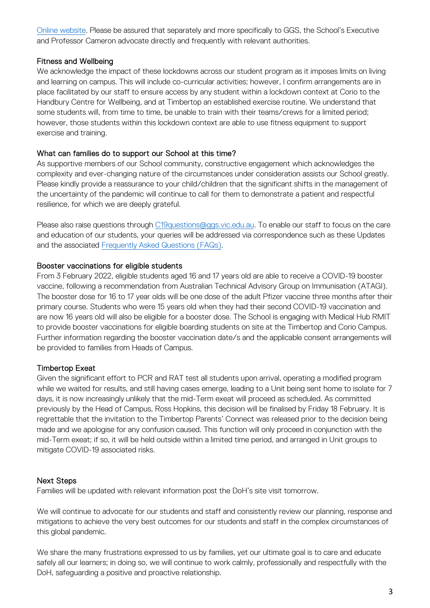[Online website.](https://www.farmonline.com.au/story/7593572/push-for-close-contact-and-essential-worker-changes-to-keep-boarding-schools-open/) Please be assured that separately and more specifically to GGS, the School's Executive and Professor Cameron advocate directly and frequently with relevant authorities.

### Fitness and Wellbeing

We acknowledge the impact of these lockdowns across our student program as it imposes limits on living and learning on campus. This will include co-curricular activities; however, I confirm arrangements are in place facilitated by our staff to ensure access by any student within a lockdown context at Corio to the Handbury Centre for Wellbeing, and at Timbertop an established exercise routine. We understand that some students will, from time to time, be unable to train with their teams/crews for a limited period; however, those students within this lockdown context are able to use fitness equipment to support exercise and training.

### What can families do to support our School at this time?

As supportive members of our School community, constructive engagement which acknowledges the complexity and ever-changing nature of the circumstances under consideration assists our School greatly. Please kindly provide a reassurance to your child/children that the significant shifts in the management of the uncertainty of the pandemic will continue to call for them to demonstrate a patient and respectful resilience, for which we are deeply grateful.

Please also raise questions through [C19questions@ggs.vic.edu.au.](mailto:C19questions@ggs.vic.edu.au) To enable our staff to focus on the care and education of our students, your queries will be addressed via correspondence such as these Updates and the associated [Frequently Asked Questions \(FAQs\).](https://hive.ggs.vic.edu.au/homepage/7699)

### Booster vaccinations for eligible students

From 3 February 2022, eligible students aged 16 and 17 years old are able to receive a COVID-19 booster vaccine, following a recommendation from Australian Technical Advisory Group on Immunisation (ATAGI). The booster dose for 16 to 17 year olds will be one dose of the adult Pfizer vaccine three months after their primary course. Students who were 15 years old when they had their second COVID-19 vaccination and are now 16 years old will also be eligible for a booster dose. The School is engaging with Medical Hub RMIT to provide booster vaccinations for eligible boarding students on site at the Timbertop and Corio Campus. Further information regarding the booster vaccination date/s and the applicable consent arrangements will be provided to families from Heads of Campus.

# Timbertop Exeat

Given the significant effort to PCR and RAT test all students upon arrival, operating a modified program while we waited for results, and still having cases emerge, leading to a Unit being sent home to isolate for 7 days, it is now increasingly unlikely that the mid-Term exeat will proceed as scheduled. As committed previously by the Head of Campus, Ross Hopkins, this decision will be finalised by Friday 18 February. It is regrettable that the invitation to the Timbertop Parents' Connect was released prior to the decision being made and we apologise for any confusion caused. This function will only proceed in conjunction with the mid-Term exeat; if so, it will be held outside within a limited time period, and arranged in Unit groups to mitigate COVID-19 associated risks.

# Next Steps

Families will be updated with relevant information post the DoH's site visit tomorrow.

We will continue to advocate for our students and staff and consistently review our planning, response and mitigations to achieve the very best outcomes for our students and staff in the complex circumstances of this global pandemic.

We share the many frustrations expressed to us by families, yet our ultimate goal is to care and educate safely all our learners; in doing so, we will continue to work calmly, professionally and respectfully with the DoH, safeguarding a positive and proactive relationship.